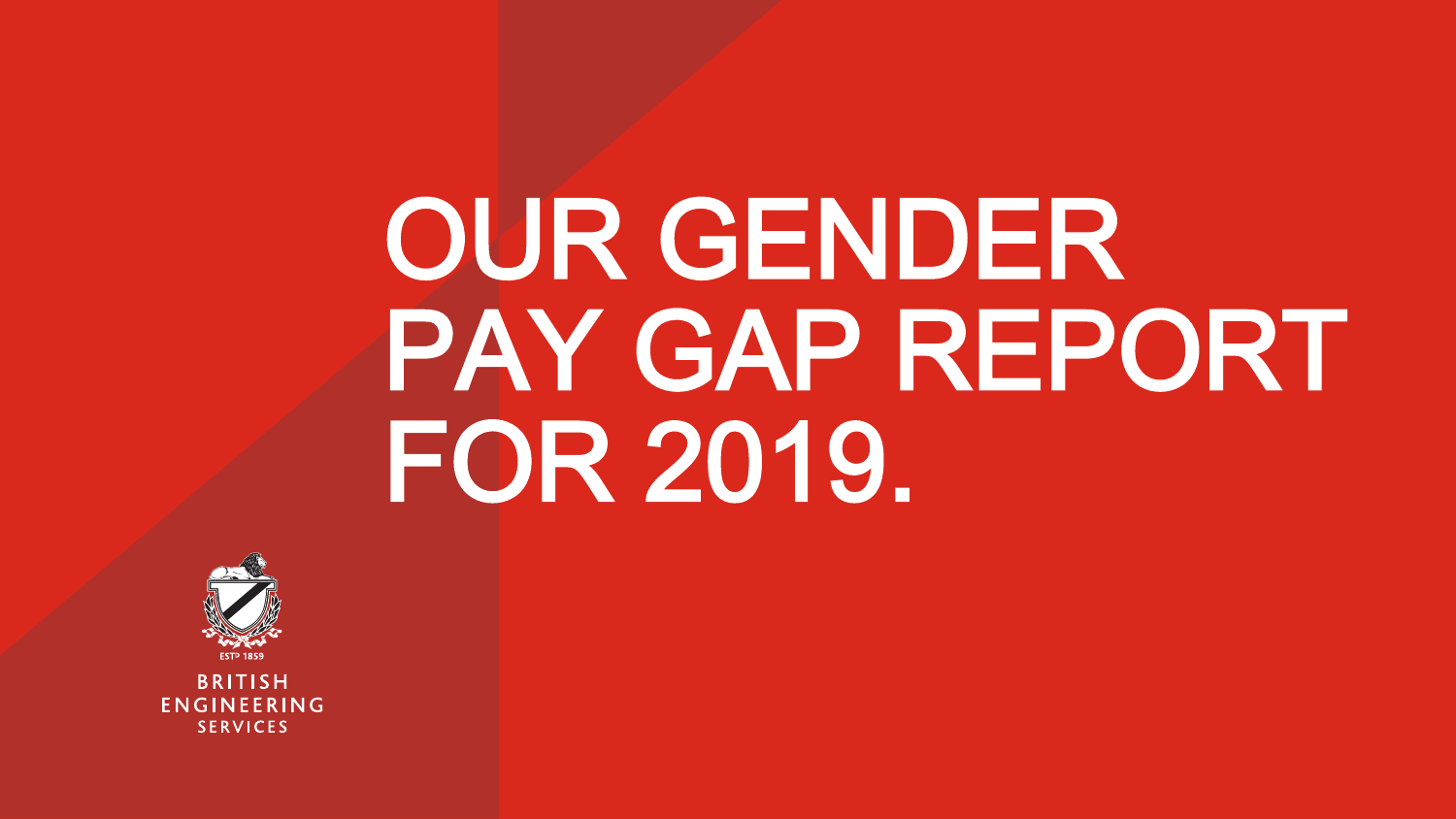# OUR GENDER PAY GAP REPORT FOR 2019.



**BRITISH** ENGINEERING **SERVICES**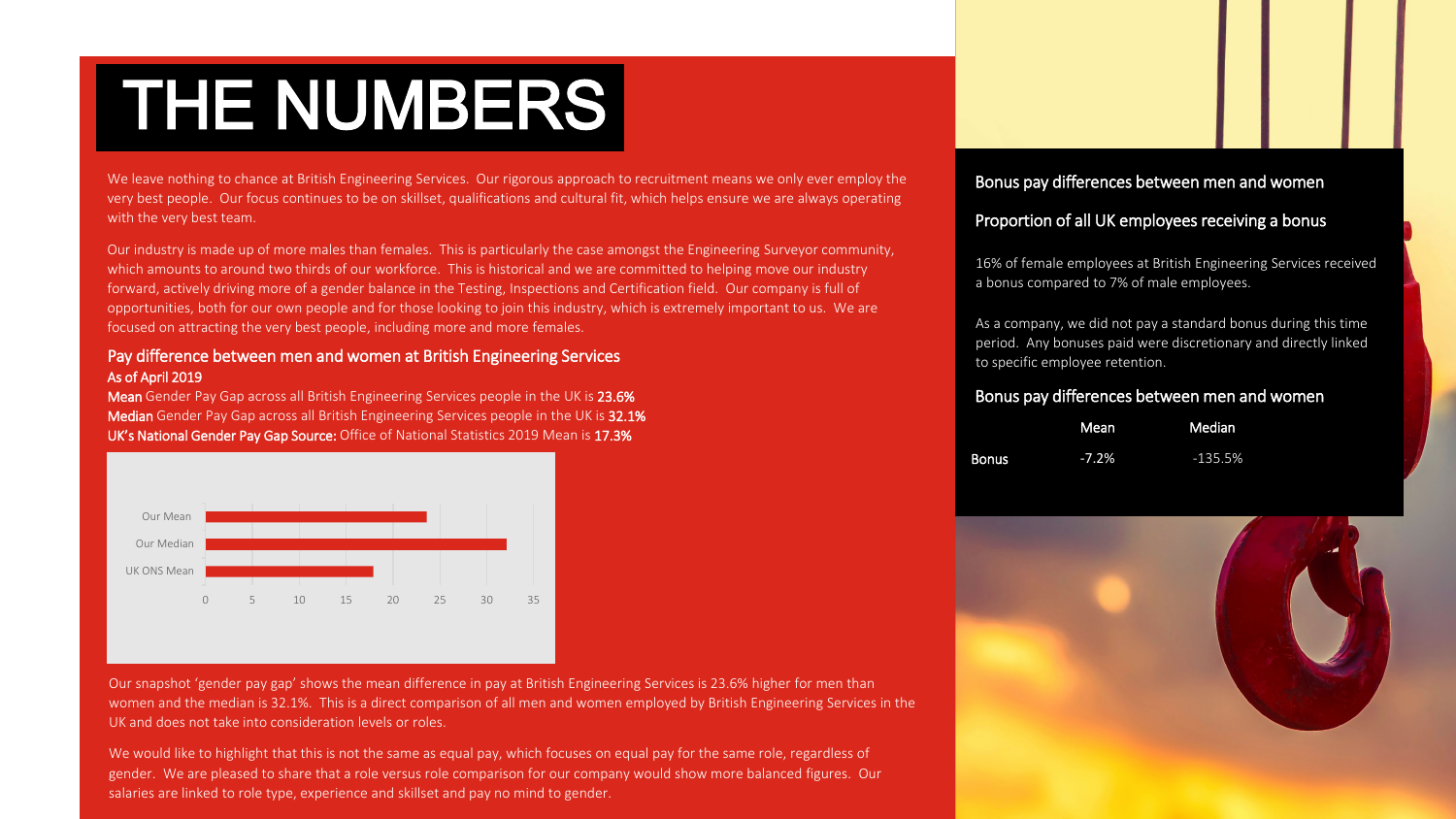### THE NUMBERS

We leave nothing to chance at British Engineering Services. Our rigorous approach to recruitment means we only ever employ the very best people. Our focus continues to be on skillset, qualifications and cultural fit, which helps ensure we are always operating with the very best team.

Our industry is made up of more males than females. This is particularly the case amongst the Engineering Surveyor community, which amounts to around two thirds of our workforce. This is historical and we are committed to helping move our industry forward, actively driving more of a gender balance in the Testing, Inspections and Certification field. Our company is full of opportunities, both for our own people and for those looking to join this industry, which is extremely important to us. We are focused on attracting the very best people, including more and more females.

#### Pay difference between men and women at British Engineering Services As of April 2019

Mean Gender Pay Gap across all British Engineering Services people in the UK is 23.6% Median Gender Pay Gap across all British Engineering Services people in the UK is 32.1% UK's National Gender Pay Gap Source: Office of National Statistics 2019 Mean is 17.3%



Our snapshot 'gender pay gap' shows the mean difference in pay at British Engineering Services is 23.6% higher for men than women and the median is 32.1%. This is a direct comparison of all men and women employed by British Engineering Services in the UK and does not take into consideration levels or roles.

We would like to highlight that this is not the same as equal pay, which focuses on equal pay for the same role, regardless of gender. We are pleased to share that a role versus role comparison for our company would show more balanced figures. Our salaries are linked to role type, experience and skillset and pay no mind to gender.

#### Bonus pay differences between men and women

#### Proportion of all UK employees receiving a bonus

16% of female employees at British Engineering Services received a bonus compared to 7% of male employees.

As a company, we did not pay a standard bonus during this time period. Any bonuses paid were discretionary and directly linked to specific employee retention.

#### Bonus pay differences between men and women

|       | Mean    | Median    |
|-------|---------|-----------|
| Bonus | $-7.2%$ | $-135.5%$ |